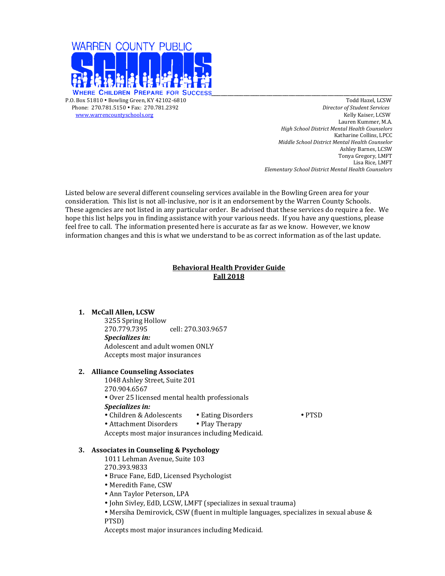

www.warrencountyschools.org

 Phone: 270.781.5150 • Fax: 270.781.2392 *Director of Student Services* Lauren Kummer, M.A. *High School District Mental Health Counselors* Katharine Collins, LPCC *Middle School District Mental Health Counselor* Ashley Barnes, LCSW Tonya Gregory, LMFT Lisa Rice, LMFT *Elementary School District Mental Health Counselors*

Listed below are several different counseling services available in the Bowling Green area for your consideration. This list is not all-inclusive, nor is it an endorsement by the Warren County Schools. These agencies are not listed in any particular order. Be advised that these services do require a fee. We hope this list helps you in finding assistance with your various needs. If you have any questions, please feel free to call. The information presented here is accurate as far as we know. However, we know information changes and this is what we understand to be as correct information as of the last update.

# **Behavioral Health Provider Guide Fall 2018**

# **1. McCall Allen, LCSW**

3255 Spring Hollow 270.779.7395 cell: 270.303.9657 *Specializes in:* Adolescent and adult women ONLY Accepts most major insurances

# **2. Alliance Counseling Associates**

1048 Ashley Street, Suite 201 270.904.6567 • Over 25 licensed mental health professionals *Specializes in:* • Children & Adolescents • Eating Disorders • PTSD • Attachment Disorders • Play Therapy

Accepts most major insurances including Medicaid.

# **3.** Associates in Counseling & Psychology

1011 Lehman Avenue, Suite 103 270.393.9833

- • Bruce Fane, EdD, Licensed Psychologist
- Meredith Fane, CSW
- Ann Taylor Peterson, LPA
- John Sivley, EdD, LCSW, LMFT (specializes in sexual trauma)
- Mersiha Demirovick, CSW (fluent in multiple languages, specializes in sexual abuse & PTSD)

Accepts most major insurances including Medicaid.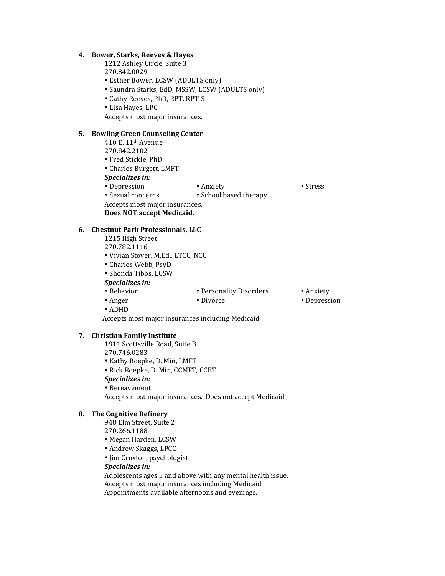### **4. Bower, Starks, Reeves & Hayes**

- 1212 Ashley Circle, Suite 3
- 270.842.0029
- Esther Bower, LCSW (ADULTS only)
- Saundra Starks, EdD, MSSW, LCSW (ADULTS only)
- • Cathy Reeves, PhD, RPT, RPT-S
- Lisa Hayes, LPC

Accepts most major insurances.

# **5. Bowling Green Counseling Center**

- 410 E. 11th Avenue
- 270.842.2102
- • Fred Stickle, PhD
- Charles Burgett, LMFT
- **Specializes** in:
- Depression Anxiety Stress
- Sexual concerns School based therapy

Accepts most major insurances.

**Does NOT accept Medicaid.**

## **6. Chestnut Park Professionals, LLC**

- 1215 High Street
- 270.782.1116
- • Vivian Stover, M.Ed., LTCC, NCC
- • Charles Webb, PsyD
- Shonda Tibbs, LCSW

# **Specializes** in:

- Behavior Personality Disorders Anxiety
- 
- Anger Divorce Divorce Depression
- • ADHD
- Accepts most major insurances including Medicaid.

## **7. Christian Family Institute**

- 1911 Scottsville Road, Suite B 270.746.0283
- 
- • Kathy Roepke, D. Min, LMFT
- Rick Roepke, D. Min, CCMFT, CCBT
- **Specializes** in:
- • Bereavement

Accepts most major insurances. Does not accept Medicaid.

### **8. The Cognitive Refinery**

- 948 Elm Street, Suite 2
- 270.266.1188
- • Megan Harden, LCSW
- Andrew Skaggs, LPCC
- Jim Croxton, psychologist

#### **Specializes** in:

Adolescents ages 5 and above with any mental health issue. Accepts most major insurances including Medicaid. Appointments available afternoons and evenings.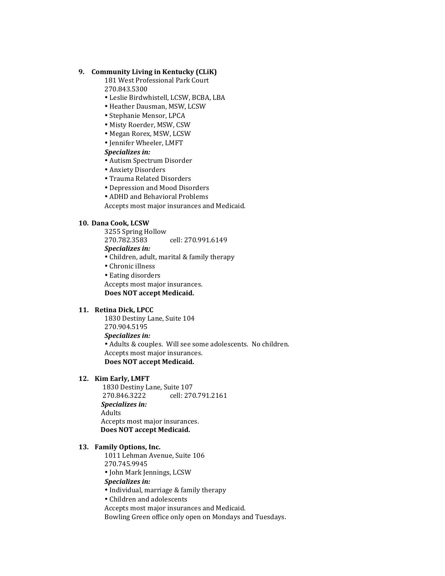# **9. Community Living in Kentucky (CLiK)**

181 West Professional Park Court 270.843.5300

- Leslie Birdwhistell, LCSW, BCBA, LBA
- Heather Dausman, MSW, LCSW
- Stephanie Mensor, LPCA
- • Misty Roerder, MSW, CSW
- • Megan Rorex, MSW, LCSW
- Jennifer Wheeler, LMFT

# **Specializes** in:

- Autism Spectrum Disorder
- Anxiety Disorders
- Trauma Related Disorders
- Depression and Mood Disorders
- ADHD and Behavioral Problems

Accepts most major insurances and Medicaid.

## **10. Dana Cook, LCSW**

3255 Spring Hollow 270.782.3583 cell: 270.991.6149

**Specializes** in:

• Children, adult, marital & family therapy

- Chronic illness
- Eating disorders

Accepts most major insurances.

Does **NOT** accept Medicaid.

# 11. **Retina Dick, LPCC**

1830 Destiny Lane, Suite 104 270.904.5195 **Specializes** in: • Adults & couples. Will see some adolescents. No children. Accepts most major insurances. **Does NOT accept Medicaid.**

### 12. Kim Early, LMFT

1830 Destiny Lane, Suite 107 270.846.3222 cell: 270.791.2161 *Specializes in:* **Adults** Accepts most major insurances. **Does NOT accept Medicaid.** 

#### 13. Family Options, Inc.

1011 Lehman Avenue, Suite 106 270.745.9945 

• John Mark Jennings, LCSW

#### *Specializes in:*

• Individual, marriage & family therapy

• Children and adolescents

Accepts most major insurances and Medicaid.

Bowling Green office only open on Mondays and Tuesdays.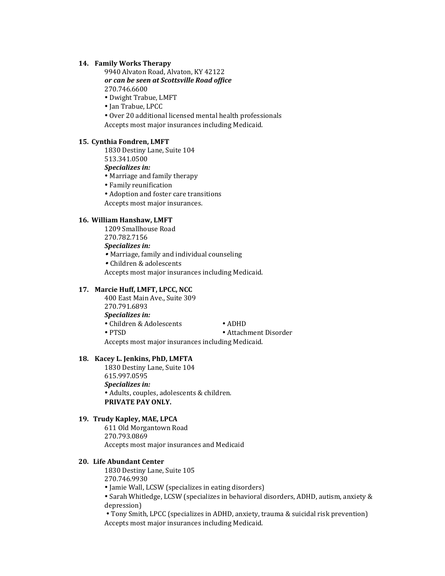# **14. Family Works Therapy**

9940 Alvaton Road, Alvaton, KY 42122 *or can be seen at Scottsville Road office* 270.746.6600

- Dwight Trabue, LMFT
- Jan Trabue, LPCC

• Over 20 additional licensed mental health professionals Accepts most major insurances including Medicaid.

### 15. **Cynthia Fondren, LMFT**

1830 Destiny Lane, Suite 104 513.341.0500

**Specializes** in:

- Marriage and family therapy
- Family reunification
- Adoption and foster care transitions

Accepts most major insurances.

# **16. William Hanshaw, LMFT**

1209 Smallhouse Road 270.782.7156

*Specializes in:* 

• Marriage, family and individual counseling

• Children & adolescents

Accepts most major insurances including Medicaid.

# **17. Marcie Huff, LMFT, LPCC, NCC**

400 East Main Ave., Suite 309 270.791.6893 *Specializes in:* • Children & Adolescents • ADHD • PTSD • Attachment Disorder Accepts most major insurances including Medicaid.

#### 18. **Kacey L. Jenkins, PhD, LMFTA**

1830 Destiny Lane, Suite 104 615.997.0595 **Specializes** in: • Adults, couples, adolescents & children. **PRIVATE PAY ONLY.** 

## 19. Trudy Kapley, MAE, LPCA

611 Old Morgantown Road 270.793.0869 Accepts most major insurances and Medicaid

## **20. Life Abundant Center**

1830 Destiny Lane, Suite 105 270.746.9930

• Jamie Wall, LCSW (specializes in eating disorders)

• Sarah Whitledge, LCSW (specializes in behavioral disorders, ADHD, autism, anxiety & depression)

• Tony Smith, LPCC (specializes in ADHD, anxiety, trauma & suicidal risk prevention) Accepts most major insurances including Medicaid.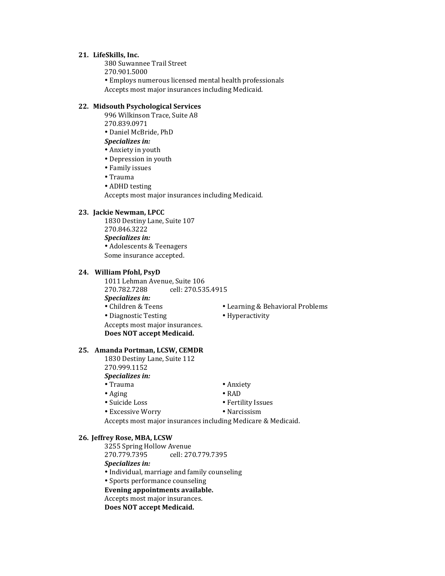#### **21. LifeSkills, Inc.**

380 Suwannee Trail Street

270.901.5000

• Employs numerous licensed mental health professionals Accepts most major insurances including Medicaid.

# **22. Midsouth Psychological Services**

996 Wilkinson Trace, Suite A8 270.839.0971

• Daniel McBride, PhD

- *Specializes in:*
- Anxiety in youth
- Depression in youth
- Family issues
- • Trauma
- ADHD testing

Accepts most major insurances including Medicaid.

### **23. Jackie Newman, LPCC**

1830 Destiny Lane, Suite 107 270.846.3222 **Specializes** in: • Adolescents & Teenagers Some insurance accepted.

### **24. William Pfohl, PsyD**

1011 Lehman Avenue, Suite 106 270.782.7288 cell: 270.535.4915 *Specializes in:* • Children & Teens • Learning & Behavioral Problems • Diagnostic Testing • Hyperactivity Accepts most major insurances. **Does NOT accept Medicaid.** 

- 
- 

**Specializes** in:

25. **Amanda Portman, LCSW, CEMDR** 1830 Destiny Lane, Suite 112

- Trauma Anxiety • Aging • RAD
- Suicide Loss Fertility Issues
	-
- Excessive Worry Narcissism

Accepts most major insurances including Medicare & Medicaid.

#### **26. Jeffrey Rose, MBA, LCSW**

270.999.1152

3255 Spring Hollow Avenue<br>270.779.7395 cell: 27 270.779.7395 cell: 270.779.7395 **Specializes** in:

- Individual, marriage and family counseling
- Sports performance counseling

## Evening appointments available.

Accepts most major insurances.

**Does NOT accept Medicaid.**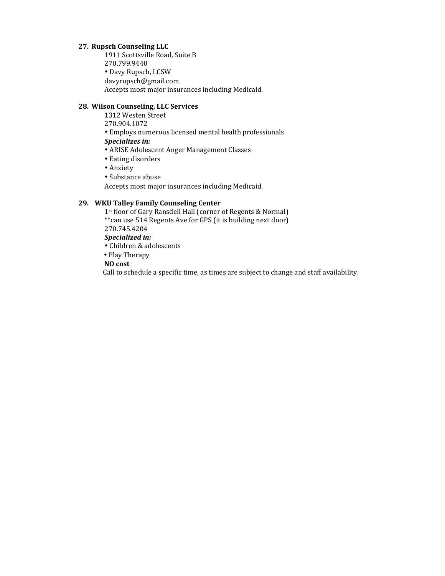# **27. Rupsch Counseling LLC**

1911 Scottsville Road, Suite B 270.799.9440 • Davy Rupsch, LCSW davyrupsch@gmail.com Accepts most major insurances including Medicaid.

# **28. Wilson Counseling, LLC Services**

1312 Westen Street

270.904.1072

• Employs numerous licensed mental health professionals

**Specializes** in:

- ARISE Adolescent Anger Management Classes
- Eating disorders
- • Anxiety
- Substance abuse

Accepts most major insurances including Medicaid.

# **29. WKU Talley Family Counseling Center**

1st floor of Gary Ransdell Hall (corner of Regents & Normal) \*\* can use 514 Regents Ave for GPS (it is building next door) 270.745.4204 **Specialized** in: • Children & adolescents

• Play Therapy

 **NO cost**

Call to schedule a specific time, as times are subject to change and staff availability.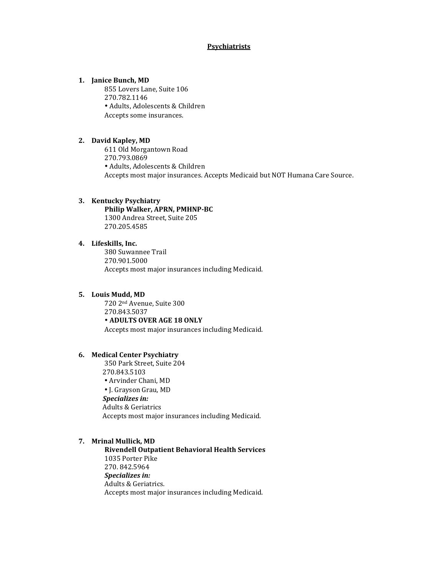# **Psychiatrists**

## 1. **Janice Bunch, MD**

855 Lovers Lane, Suite 106 270.782.1146 • Adults, Adolescents & Children Accepts some insurances.

## **2. David Kapley, MD**

611 Old Morgantown Road 270.793.0869 • Adults, Adolescents & Children Accepts most major insurances. Accepts Medicaid but NOT Humana Care Source.

### **3. Kentucky Psychiatry Philip Walker, APRN, PMHNP-BC** 1300 Andrea Street, Suite 205 270.205.4585

## 4. Lifeskills, Inc.

380 Suwannee Trail 270.901.5000 Accepts most major insurances including Medicaid.

## **5. Louis Mudd, MD**

720 2nd Avenue, Suite 300 270.843.5037 • **ADULTS OVER AGE 18 ONLY** Accepts most major insurances including Medicaid.

#### **6. Medical Center Psychiatry**

350 Park Street, Suite 204 270.843.5103 • Arvinder Chani, MD • J. Grayson Grau, MD **Specializes** in: **Adults & Geriatrics** Accepts most major insurances including Medicaid.

## **7. Mrinal Mullick, MD**

**Rivendell Outpatient Behavioral Health Services** 1035 Porter Pike 270. 842.5964 **Specializes** in: Adults & Geriatrics. Accepts most major insurances including Medicaid.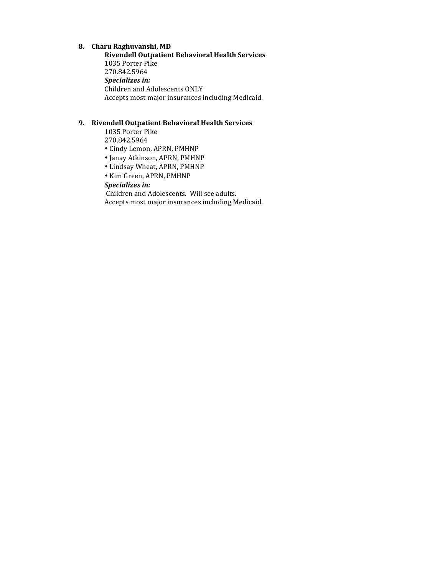# **8. Charu Raghuvanshi, MD**

**Rivendell Outpatient Behavioral Health Services** 1035 Porter Pike 270.842.5964 **Specializes** in: Children and Adolescents ONLY Accepts most major insurances including Medicaid.

# **9.** Rivendell Outpatient Behavioral Health Services

1035 Porter Pike 270.842.5964

- • Cindy Lemon, APRN, PMHNP
- • Janay Atkinson, APRN, PMHNP
- • Lindsay Wheat, APRN, PMHNP
- • Kim Green, APRN, PMHNP

# **Specializes** in:

Children and Adolescents. Will see adults. Accepts most major insurances including Medicaid.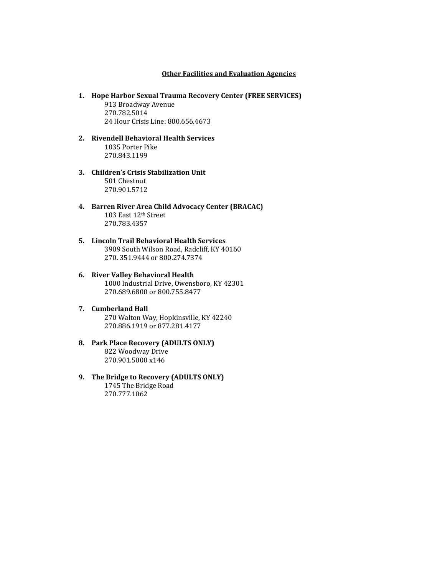### **Other Facilities and Evaluation Agencies**

- 1. **Hope Harbor Sexual Trauma Recovery Center (FREE SERVICES)** 913 Broadway Avenue 270.782.5014 24 Hour Crisis Line: 800.656.4673
- **2. Rivendell Behavioral Health Services** 1035 Porter Pike 270.843.1199
- **3. Children's Crisis Stabilization Unit** 501 Chestnut 270.901.5712
- **4. Barren River Area Child Advocacy Center (BRACAC)** 103 East 12th Street 270.783.4357
- **5. Lincoln Trail Behavioral Health Services** 3909 South Wilson Road, Radcliff, KY 40160 270. 351.9444 or 800.274.7374
- **6. River Valley Behavioral Health** 1000 Industrial Drive, Owensboro, KY 42301 270.689.6800 or 800.755.8477
- **7. Cumberland Hall** 270 Walton Way, Hopkinsville, KY 42240 270.886.1919 or 877.281.4177
- **8. Park Place Recovery (ADULTS ONLY)** 822 Woodway Drive 270.901.5000 x146
- **9.** The Bridge to Recovery (ADULTS ONLY) 1745 The Bridge Road 270.777.1062